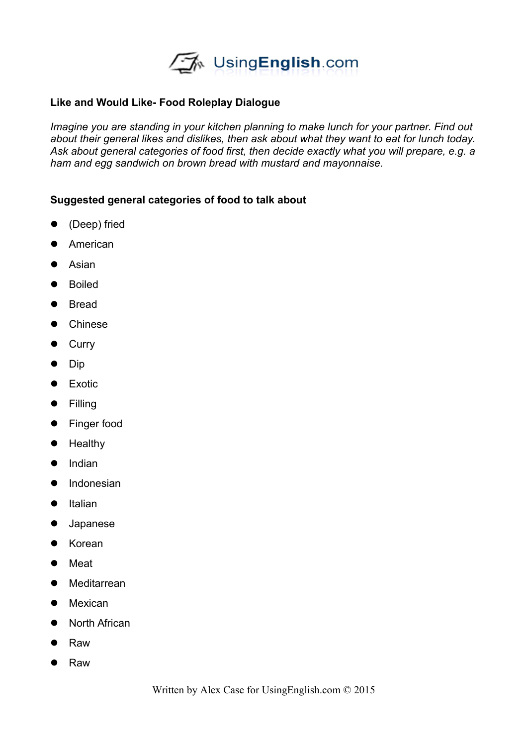

## **Like and Would Like- Food Roleplay Dialogue**

*Imagine you are standing in your kitchen planning to make lunch for your partner. Find out about their general likes and dislikes, then ask about what they want to eat for lunch today. Ask about general categories of food first, then decide exactly what you will prepare, e.g. a ham and egg sandwich on brown bread with mustard and mayonnaise.* 

## **Suggested general categories of food to talk about**

- (Deep) fried
- **•** American
- **•** Asian
- **•** Boiled
- Bread
- Chinese
- **•** Curry
- $\bullet$  Dip
- **•** Exotic
- **•** Filling
- Finger food
- **•** Healthy
- $\bullet$  Indian
- **•** Indonesian
- $\bullet$  Italian
- Japanese
- Korean
- Meat
- **•** Meditarrean
- Mexican
- North African
- Raw
- Raw